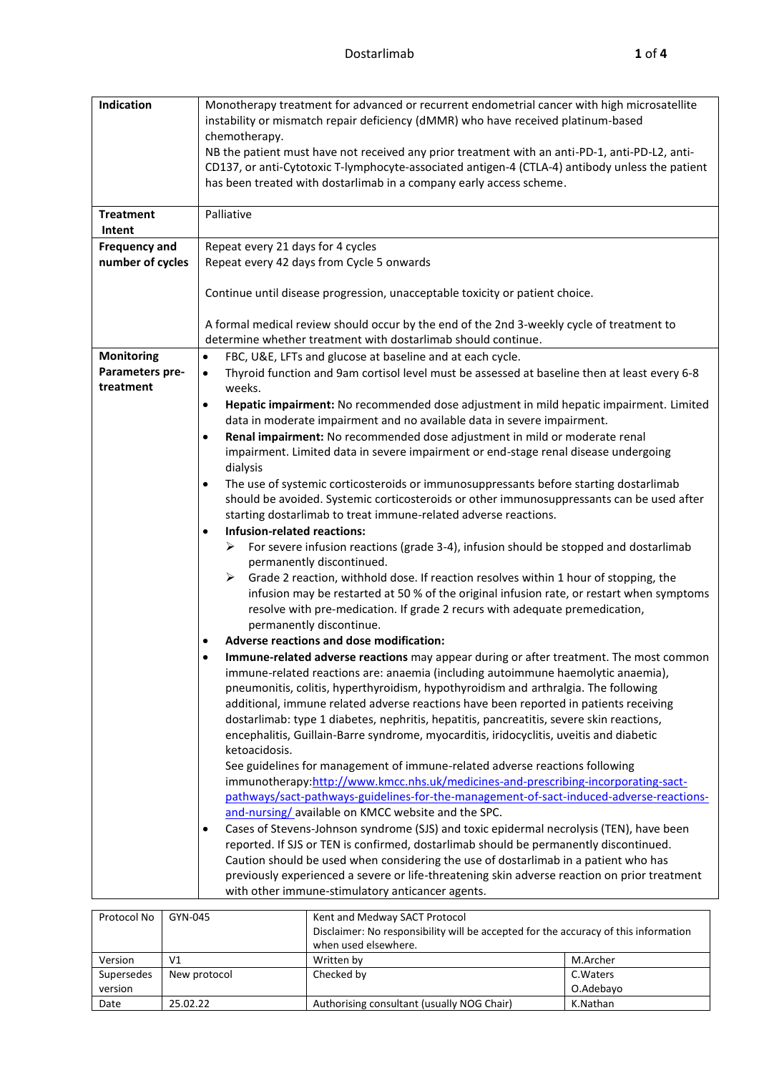| Indication                 | Monotherapy treatment for advanced or recurrent endometrial cancer with high microsatellite                                                                                   |  |  |  |  |
|----------------------------|-------------------------------------------------------------------------------------------------------------------------------------------------------------------------------|--|--|--|--|
|                            | instability or mismatch repair deficiency (dMMR) who have received platinum-based                                                                                             |  |  |  |  |
|                            | chemotherapy.                                                                                                                                                                 |  |  |  |  |
|                            | NB the patient must have not received any prior treatment with an anti-PD-1, anti-PD-L2, anti-                                                                                |  |  |  |  |
|                            | CD137, or anti-Cytotoxic T-lymphocyte-associated antigen-4 (CTLA-4) antibody unless the patient                                                                               |  |  |  |  |
|                            | has been treated with dostarlimab in a company early access scheme.                                                                                                           |  |  |  |  |
|                            | Palliative                                                                                                                                                                    |  |  |  |  |
| <b>Treatment</b><br>Intent |                                                                                                                                                                               |  |  |  |  |
| <b>Frequency and</b>       | Repeat every 21 days for 4 cycles                                                                                                                                             |  |  |  |  |
| number of cycles           | Repeat every 42 days from Cycle 5 onwards                                                                                                                                     |  |  |  |  |
|                            |                                                                                                                                                                               |  |  |  |  |
|                            | Continue until disease progression, unacceptable toxicity or patient choice.                                                                                                  |  |  |  |  |
|                            |                                                                                                                                                                               |  |  |  |  |
|                            | A formal medical review should occur by the end of the 2nd 3-weekly cycle of treatment to                                                                                     |  |  |  |  |
|                            | determine whether treatment with dostarlimab should continue.                                                                                                                 |  |  |  |  |
| <b>Monitoring</b>          | FBC, U&E, LFTs and glucose at baseline and at each cycle.<br>$\bullet$                                                                                                        |  |  |  |  |
| Parameters pre-            | Thyroid function and 9am cortisol level must be assessed at baseline then at least every 6-8<br>$\bullet$                                                                     |  |  |  |  |
| treatment                  | weeks.                                                                                                                                                                        |  |  |  |  |
|                            | Hepatic impairment: No recommended dose adjustment in mild hepatic impairment. Limited<br>$\bullet$                                                                           |  |  |  |  |
|                            | data in moderate impairment and no available data in severe impairment.                                                                                                       |  |  |  |  |
|                            | Renal impairment: No recommended dose adjustment in mild or moderate renal<br>$\bullet$                                                                                       |  |  |  |  |
|                            | impairment. Limited data in severe impairment or end-stage renal disease undergoing                                                                                           |  |  |  |  |
|                            | dialysis                                                                                                                                                                      |  |  |  |  |
|                            | The use of systemic corticosteroids or immunosuppressants before starting dostarlimab                                                                                         |  |  |  |  |
|                            | should be avoided. Systemic corticosteroids or other immunosuppressants can be used after                                                                                     |  |  |  |  |
|                            | starting dostarlimab to treat immune-related adverse reactions.                                                                                                               |  |  |  |  |
|                            | <b>Infusion-related reactions:</b>                                                                                                                                            |  |  |  |  |
|                            | ≻<br>For severe infusion reactions (grade 3-4), infusion should be stopped and dostarlimab                                                                                    |  |  |  |  |
|                            | permanently discontinued.                                                                                                                                                     |  |  |  |  |
|                            | Grade 2 reaction, withhold dose. If reaction resolves within 1 hour of stopping, the<br>➤                                                                                     |  |  |  |  |
|                            | infusion may be restarted at 50 % of the original infusion rate, or restart when symptoms                                                                                     |  |  |  |  |
|                            | resolve with pre-medication. If grade 2 recurs with adequate premedication,                                                                                                   |  |  |  |  |
|                            | permanently discontinue.                                                                                                                                                      |  |  |  |  |
|                            | Adverse reactions and dose modification:                                                                                                                                      |  |  |  |  |
|                            | Immune-related adverse reactions may appear during or after treatment. The most common                                                                                        |  |  |  |  |
|                            | immune-related reactions are: anaemia (including autoimmune haemolytic anaemia),                                                                                              |  |  |  |  |
|                            | pneumonitis, colitis, hyperthyroidism, hypothyroidism and arthralgia. The following                                                                                           |  |  |  |  |
|                            | additional, immune related adverse reactions have been reported in patients receiving                                                                                         |  |  |  |  |
|                            | dostarlimab: type 1 diabetes, nephritis, hepatitis, pancreatitis, severe skin reactions,                                                                                      |  |  |  |  |
|                            | encephalitis, Guillain-Barre syndrome, myocarditis, iridocyclitis, uveitis and diabetic                                                                                       |  |  |  |  |
|                            | ketoacidosis.                                                                                                                                                                 |  |  |  |  |
|                            | See guidelines for management of immune-related adverse reactions following                                                                                                   |  |  |  |  |
|                            | immunotherapy:http://www.kmcc.nhs.uk/medicines-and-prescribing-incorporating-sact-<br>pathways/sact-pathways-guidelines-for-the-management-of-sact-induced-adverse-reactions- |  |  |  |  |
|                            | and-nursing/available on KMCC website and the SPC.                                                                                                                            |  |  |  |  |
|                            | Cases of Stevens-Johnson syndrome (SJS) and toxic epidermal necrolysis (TEN), have been                                                                                       |  |  |  |  |
|                            | reported. If SJS or TEN is confirmed, dostarlimab should be permanently discontinued.                                                                                         |  |  |  |  |
|                            | Caution should be used when considering the use of dostarlimab in a patient who has                                                                                           |  |  |  |  |
|                            | previously experienced a severe or life-threatening skin adverse reaction on prior treatment                                                                                  |  |  |  |  |
|                            | with other immune-stimulatory anticancer agents.                                                                                                                              |  |  |  |  |
|                            |                                                                                                                                                                               |  |  |  |  |

| Protocol No | GYN-045      | Kent and Medway SACT Protocol                                                       |           |  |
|-------------|--------------|-------------------------------------------------------------------------------------|-----------|--|
|             |              | Disclaimer: No responsibility will be accepted for the accuracy of this information |           |  |
|             |              | when used elsewhere.                                                                |           |  |
| Version     | V1           | Written by                                                                          | M.Archer  |  |
| Supersedes  | New protocol | Checked by                                                                          | C. Waters |  |
| version     |              |                                                                                     | O.Adebavo |  |
| Date        | 25.02.22     | Authorising consultant (usually NOG Chair)                                          | K.Nathan  |  |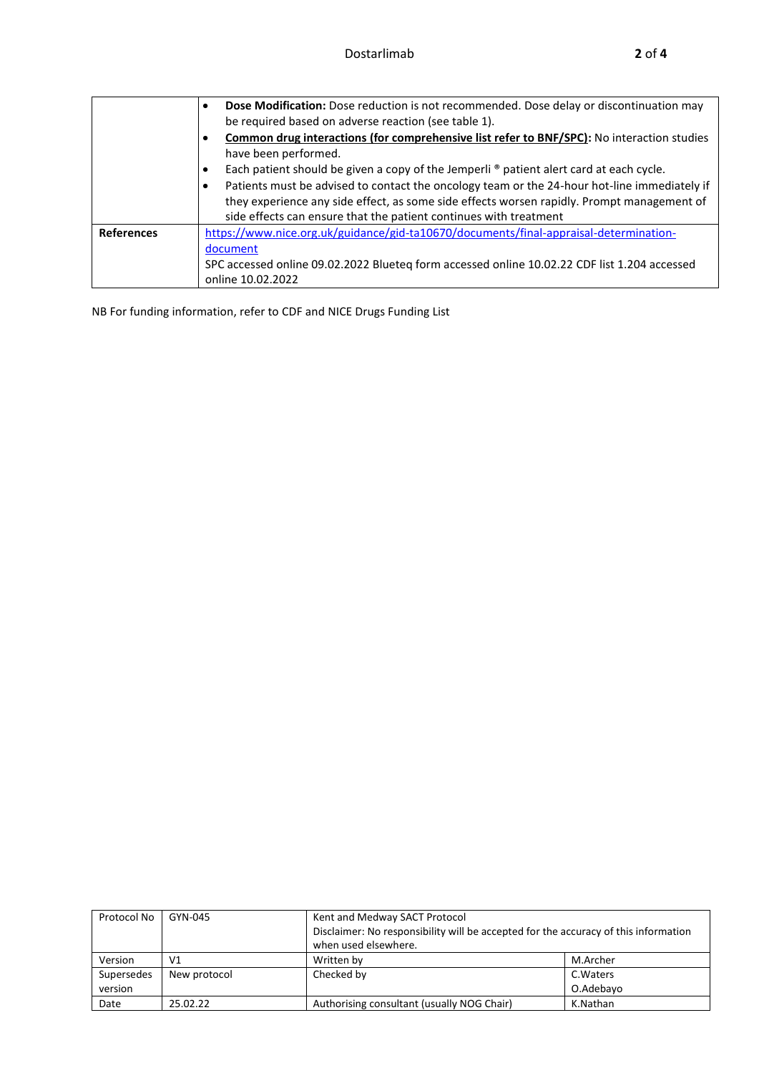|                   | Dose Modification: Dose reduction is not recommended. Dose delay or discontinuation may<br>$\bullet$<br>be required based on adverse reaction (see table 1).                                                                                                                                                                                                         |
|-------------------|----------------------------------------------------------------------------------------------------------------------------------------------------------------------------------------------------------------------------------------------------------------------------------------------------------------------------------------------------------------------|
|                   | <b>Common drug interactions (for comprehensive list refer to BNF/SPC):</b> No interaction studies<br>٠<br>have been performed.                                                                                                                                                                                                                                       |
|                   | Each patient should be given a copy of the Jemperli ® patient alert card at each cycle.<br>٠<br>Patients must be advised to contact the oncology team or the 24-hour hot-line immediately if<br>٠<br>they experience any side effect, as some side effects worsen rapidly. Prompt management of<br>side effects can ensure that the patient continues with treatment |
| <b>References</b> | https://www.nice.org.uk/guidance/gid-ta10670/documents/final-appraisal-determination-<br>document<br>SPC accessed online 09.02.2022 Blueteq form accessed online 10.02.22 CDF list 1.204 accessed<br>online 10.02.2022                                                                                                                                               |

NB For funding information, refer to CDF and NICE Drugs Funding List

| Protocol No | GYN-045      | Kent and Medway SACT Protocol                                                       |           |  |
|-------------|--------------|-------------------------------------------------------------------------------------|-----------|--|
|             |              | Disclaimer: No responsibility will be accepted for the accuracy of this information |           |  |
|             |              | when used elsewhere.                                                                |           |  |
| Version     | V1           | Written by                                                                          | M.Archer  |  |
| Supersedes  | New protocol | Checked by                                                                          | C. Waters |  |
| version     |              |                                                                                     | O.Adebayo |  |
| Date        | 25.02.22     | Authorising consultant (usually NOG Chair)                                          | K.Nathan  |  |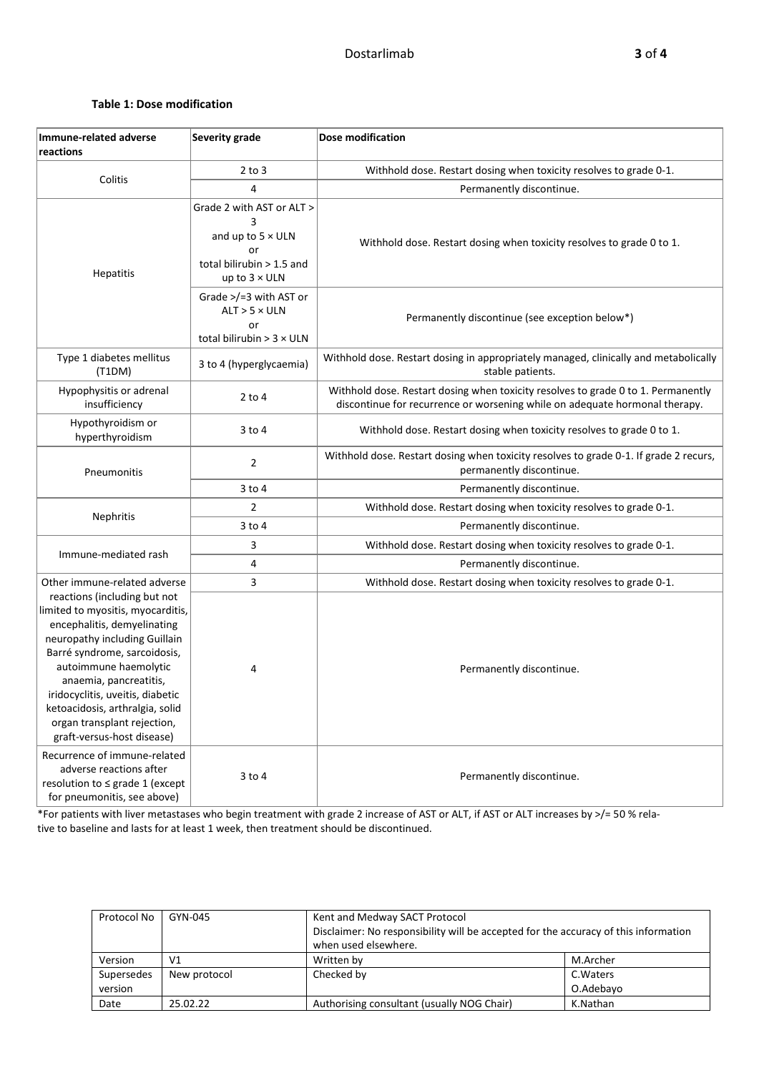## **Table 1: Dose modification**

| Immune-related adverse<br>reactions                                                                                                                                                                                                                                                                                                                      | Severity grade                                                                                                        | <b>Dose modification</b>                                                                                                                                         |  |  |
|----------------------------------------------------------------------------------------------------------------------------------------------------------------------------------------------------------------------------------------------------------------------------------------------------------------------------------------------------------|-----------------------------------------------------------------------------------------------------------------------|------------------------------------------------------------------------------------------------------------------------------------------------------------------|--|--|
|                                                                                                                                                                                                                                                                                                                                                          | $2$ to $3$                                                                                                            | Withhold dose. Restart dosing when toxicity resolves to grade 0-1.                                                                                               |  |  |
| Colitis                                                                                                                                                                                                                                                                                                                                                  | 4                                                                                                                     | Permanently discontinue.                                                                                                                                         |  |  |
| Hepatitis                                                                                                                                                                                                                                                                                                                                                | Grade 2 with AST or ALT ><br>3<br>and up to $5 \times$ ULN<br>or<br>total bilirubin > 1.5 and<br>up to $3 \times$ ULN | Withhold dose. Restart dosing when toxicity resolves to grade 0 to 1.                                                                                            |  |  |
|                                                                                                                                                                                                                                                                                                                                                          | Grade $>$ /=3 with AST or<br>$ALT > 5 \times ULN$<br>or<br>total bilirubin $>$ 3 $\times$ ULN                         | Permanently discontinue (see exception below*)                                                                                                                   |  |  |
| Type 1 diabetes mellitus<br>(T1DM)                                                                                                                                                                                                                                                                                                                       | 3 to 4 (hyperglycaemia)                                                                                               | Withhold dose. Restart dosing in appropriately managed, clinically and metabolically<br>stable patients.                                                         |  |  |
| Hypophysitis or adrenal<br>insufficiency                                                                                                                                                                                                                                                                                                                 | $2$ to 4                                                                                                              | Withhold dose. Restart dosing when toxicity resolves to grade 0 to 1. Permanently<br>discontinue for recurrence or worsening while on adequate hormonal therapy. |  |  |
| Hypothyroidism or<br>hyperthyroidism                                                                                                                                                                                                                                                                                                                     | 3 to 4                                                                                                                | Withhold dose. Restart dosing when toxicity resolves to grade 0 to 1.                                                                                            |  |  |
| Pneumonitis                                                                                                                                                                                                                                                                                                                                              | $\overline{2}$                                                                                                        | Withhold dose. Restart dosing when toxicity resolves to grade 0-1. If grade 2 recurs,<br>permanently discontinue.                                                |  |  |
|                                                                                                                                                                                                                                                                                                                                                          | $3$ to $4$                                                                                                            | Permanently discontinue.                                                                                                                                         |  |  |
|                                                                                                                                                                                                                                                                                                                                                          | $\overline{2}$                                                                                                        | Withhold dose. Restart dosing when toxicity resolves to grade 0-1.                                                                                               |  |  |
| Nephritis                                                                                                                                                                                                                                                                                                                                                | $3$ to $4$                                                                                                            | Permanently discontinue.                                                                                                                                         |  |  |
|                                                                                                                                                                                                                                                                                                                                                          | 3                                                                                                                     | Withhold dose. Restart dosing when toxicity resolves to grade 0-1.                                                                                               |  |  |
| Immune-mediated rash                                                                                                                                                                                                                                                                                                                                     | 4                                                                                                                     | Permanently discontinue.                                                                                                                                         |  |  |
| Other immune-related adverse                                                                                                                                                                                                                                                                                                                             | 3                                                                                                                     | Withhold dose. Restart dosing when toxicity resolves to grade 0-1.                                                                                               |  |  |
| reactions (including but not<br>limited to myositis, myocarditis,<br>encephalitis, demyelinating<br>neuropathy including Guillain<br>Barré syndrome, sarcoidosis,<br>autoimmune haemolytic<br>anaemia, pancreatitis,<br>iridocyclitis, uveitis, diabetic<br>ketoacidosis, arthralgia, solid<br>organ transplant rejection,<br>graft-versus-host disease) | 4                                                                                                                     | Permanently discontinue.                                                                                                                                         |  |  |
| Recurrence of immune-related<br>adverse reactions after<br>resolution to ≤ grade 1 (except<br>for pneumonitis, see above)                                                                                                                                                                                                                                | $3$ to $4$                                                                                                            | Permanently discontinue.                                                                                                                                         |  |  |

\*For patients with liver metastases who begin treatment with grade 2 increase of AST or ALT, if AST or ALT increases by >/= 50 % relative to baseline and lasts for at least 1 week, then treatment should be discontinued.

| Protocol No | GYN-045      | Kent and Medway SACT Protocol                                                       |           |  |
|-------------|--------------|-------------------------------------------------------------------------------------|-----------|--|
|             |              | Disclaimer: No responsibility will be accepted for the accuracy of this information |           |  |
|             |              | when used elsewhere.                                                                |           |  |
| Version     | V1           | Written by                                                                          | M.Archer  |  |
| Supersedes  | New protocol | Checked by                                                                          | C. Waters |  |
| version     |              |                                                                                     | O.Adebayo |  |
| Date        | 25.02.22     | Authorising consultant (usually NOG Chair)                                          | K.Nathan  |  |